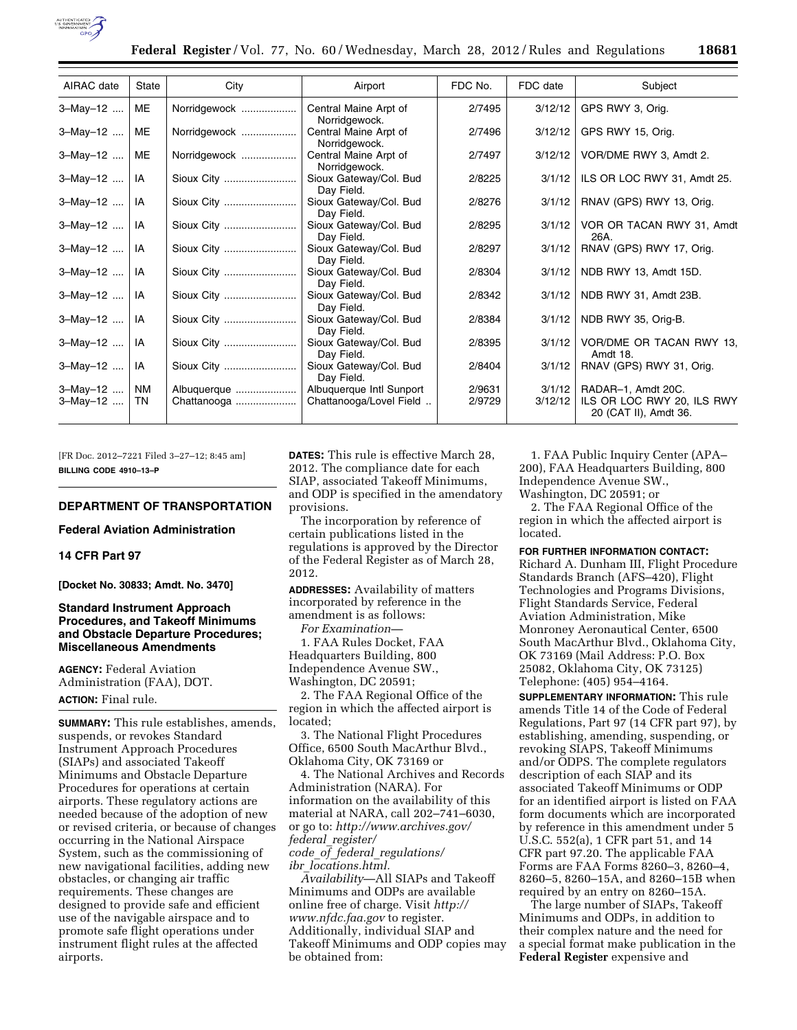

| AIRAC date           | State                  | City                       | Airport                                             | FDC No.          | FDC date          | Subject                                                                   |
|----------------------|------------------------|----------------------------|-----------------------------------------------------|------------------|-------------------|---------------------------------------------------------------------------|
| 3-May-12             | ME                     | Norridgewock               | Central Maine Arpt of<br>Norridgewock.              | 2/7495           | 3/12/12           | GPS RWY 3, Orig.                                                          |
| 3-May-12             | ME                     | Norridgewock               | Central Maine Arpt of<br>Norridgewock.              | 2/7496           | 3/12/12           | GPS RWY 15, Orig.                                                         |
| 3-May-12             | <b>ME</b>              | Norridgewock               | Central Maine Arpt of<br>Norridgewock.              | 2/7497           | 3/12/12           | VOR/DME RWY 3, Amdt 2.                                                    |
| 3-May-12             | IA                     | Sioux City                 | Sioux Gateway/Col. Bud<br>Day Field.                | 2/8225           | 3/1/12            | ILS OR LOC RWY 31, Amdt 25.                                               |
| $3-May-12$           | IA                     | Sioux City                 | Sioux Gateway/Col. Bud<br>Day Field.                | 2/8276           | 3/1/12            | RNAV (GPS) RWY 13, Orig.                                                  |
| $3-May-12$           | IA                     | Sioux City                 | Sioux Gateway/Col. Bud<br>Day Field.                | 2/8295           | 3/1/12            | VOR OR TACAN RWY 31, Amdt<br>26A.                                         |
| $3-May-12$           | IA                     | Sioux City                 | Sioux Gateway/Col. Bud<br>Day Field.                | 2/8297           | 3/1/12            | RNAV (GPS) RWY 17, Orig.                                                  |
| $3-May-12$   IA      |                        | Sioux City                 | Sioux Gateway/Col. Bud<br>Day Field.                | 2/8304           | 3/1/12            | NDB RWY 13, Amdt 15D.                                                     |
| $3-May-12$           | IA                     | Sioux City                 | Sioux Gateway/Col. Bud<br>Dav Field.                | 2/8342           | 3/1/12            | NDB RWY 31, Amdt 23B.                                                     |
| $3-May-12$           | IA                     | Sioux City                 | Sioux Gateway/Col. Bud<br>Day Field.                | 2/8384           | 3/1/12            | NDB RWY 35, Orig-B.                                                       |
| 3-May-12             | IA                     | Sioux City                 | Sioux Gateway/Col. Bud<br>Day Field.                | 2/8395           | 3/1/12            | VOR/DME OR TACAN RWY 13,<br>Amdt 18.                                      |
| 3-May-12             | IA                     | Sioux City                 | Sioux Gateway/Col. Bud<br>Day Field.                | 2/8404           | 3/1/12            | RNAV (GPS) RWY 31, Orig.                                                  |
| 3-May-12<br>3-May-12 | <b>NM</b><br><b>TN</b> | Albuquerque<br>Chattanooga | Albuquerque Intl Sunport<br>Chattanooga/Lovel Field | 2/9631<br>2/9729 | 3/1/12<br>3/12/12 | RADAR-1, Amdt 20C.<br>ILS OR LOC RWY 20, ILS RWY<br>20 (CAT II), Amdt 36. |

[FR Doc. 2012–7221 Filed 3–27–12; 8:45 am] **BILLING CODE 4910–13–P** 

# **DEPARTMENT OF TRANSPORTATION**

**Federal Aviation Administration** 

# **14 CFR Part 97**

**[Docket No. 30833; Amdt. No. 3470]** 

# **Standard Instrument Approach Procedures, and Takeoff Minimums and Obstacle Departure Procedures; Miscellaneous Amendments**

**AGENCY:** Federal Aviation Administration (FAA), DOT. **ACTION:** Final rule.

**SUMMARY:** This rule establishes, amends, suspends, or revokes Standard Instrument Approach Procedures (SIAPs) and associated Takeoff Minimums and Obstacle Departure Procedures for operations at certain airports. These regulatory actions are needed because of the adoption of new or revised criteria, or because of changes occurring in the National Airspace System, such as the commissioning of new navigational facilities, adding new obstacles, or changing air traffic requirements. These changes are designed to provide safe and efficient use of the navigable airspace and to promote safe flight operations under instrument flight rules at the affected airports.

**DATES:** This rule is effective March 28, 2012. The compliance date for each SIAP, associated Takeoff Minimums, and ODP is specified in the amendatory provisions.

The incorporation by reference of certain publications listed in the regulations is approved by the Director of the Federal Register as of March 28, 2012.

**ADDRESSES:** Availability of matters incorporated by reference in the amendment is as follows:

*For Examination—* 

1. FAA Rules Docket, FAA Headquarters Building, 800 Independence Avenue SW., Washington, DC 20591;

2. The FAA Regional Office of the region in which the affected airport is located;

3. The National Flight Procedures Office, 6500 South MacArthur Blvd., Oklahoma City, OK 73169 or

4. The National Archives and Records Administration (NARA). For information on the availability of this material at NARA, call 202–741–6030, or go to: *[http://www.archives.gov/](http://www.archives.gov/federal_register/code_of_federal_regulations/ibr_locations.html)  federal*\_*[register/](http://www.archives.gov/federal_register/code_of_federal_regulations/ibr_locations.html) code*\_*of*\_*federal*\_*[regulations/](http://www.archives.gov/federal_register/code_of_federal_regulations/ibr_locations.html)  ibr*\_*[locations.html.](http://www.archives.gov/federal_register/code_of_federal_regulations/ibr_locations.html)* 

*Availability*—All SIAPs and Takeoff Minimums and ODPs are available online free of charge. Visit *[http://](http://www.nfdc.faa.gov)  [www.nfdc.faa.gov](http://www.nfdc.faa.gov)* to register. Additionally, individual SIAP and Takeoff Minimums and ODP copies may be obtained from:

1. FAA Public Inquiry Center (APA– 200), FAA Headquarters Building, 800 Independence Avenue SW., Washington, DC 20591; or

2. The FAA Regional Office of the region in which the affected airport is located.

#### **FOR FURTHER INFORMATION CONTACT:**

Richard A. Dunham III, Flight Procedure Standards Branch (AFS–420), Flight Technologies and Programs Divisions, Flight Standards Service, Federal Aviation Administration, Mike Monroney Aeronautical Center, 6500 South MacArthur Blvd., Oklahoma City, OK 73169 (Mail Address: P.O. Box 25082, Oklahoma City, OK 73125) Telephone: (405) 954–4164.

**SUPPLEMENTARY INFORMATION:** This rule amends Title 14 of the Code of Federal Regulations, Part 97 (14 CFR part 97), by establishing, amending, suspending, or revoking SIAPS, Takeoff Minimums and/or ODPS. The complete regulators description of each SIAP and its associated Takeoff Minimums or ODP for an identified airport is listed on FAA form documents which are incorporated by reference in this amendment under 5 U.S.C. 552(a), 1 CFR part 51, and 14 CFR part 97.20. The applicable FAA Forms are FAA Forms 8260–3, 8260–4, 8260–5, 8260–15A, and 8260–15B when required by an entry on 8260–15A.

The large number of SIAPs, Takeoff Minimums and ODPs, in addition to their complex nature and the need for a special format make publication in the **Federal Register** expensive and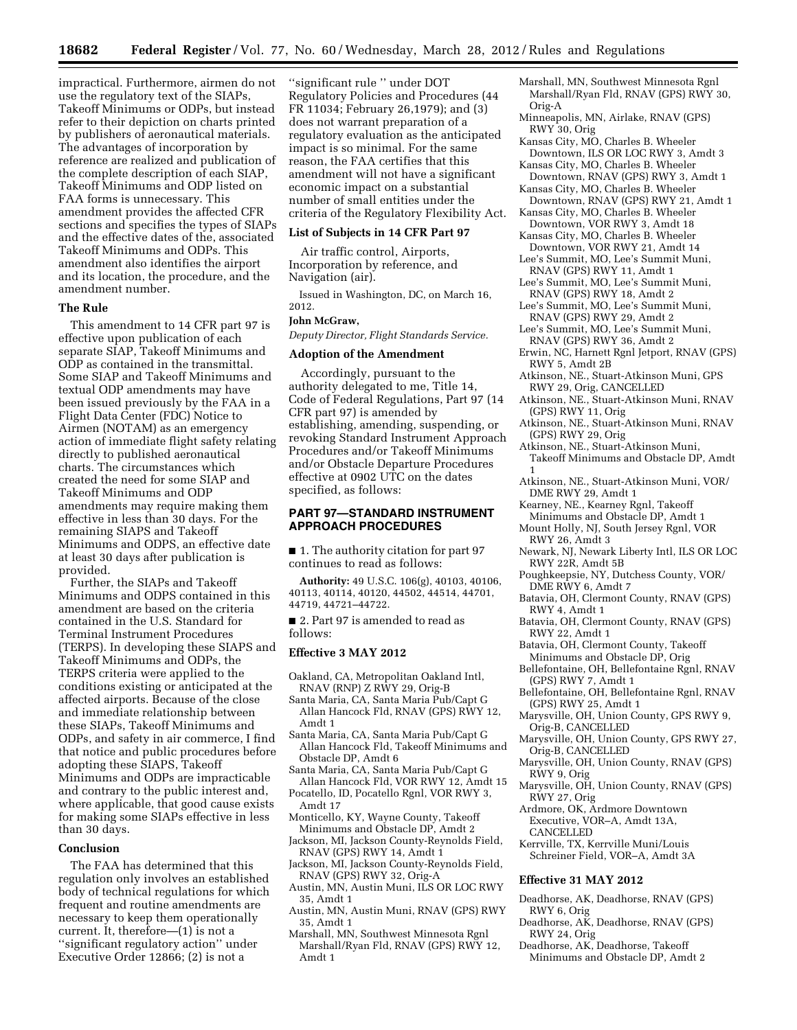impractical. Furthermore, airmen do not use the regulatory text of the SIAPs, Takeoff Minimums or ODPs, but instead refer to their depiction on charts printed by publishers of aeronautical materials. The advantages of incorporation by reference are realized and publication of the complete description of each SIAP, Takeoff Minimums and ODP listed on FAA forms is unnecessary. This amendment provides the affected CFR sections and specifies the types of SIAPs and the effective dates of the, associated Takeoff Minimums and ODPs. This amendment also identifies the airport and its location, the procedure, and the amendment number.

#### **The Rule**

This amendment to 14 CFR part 97 is effective upon publication of each separate SIAP, Takeoff Minimums and ODP as contained in the transmittal. Some SIAP and Takeoff Minimums and textual ODP amendments may have been issued previously by the FAA in a Flight Data Center (FDC) Notice to Airmen (NOTAM) as an emergency action of immediate flight safety relating directly to published aeronautical charts. The circumstances which created the need for some SIAP and Takeoff Minimums and ODP amendments may require making them effective in less than 30 days. For the remaining SIAPS and Takeoff Minimums and ODPS, an effective date at least 30 days after publication is provided.

Further, the SIAPs and Takeoff Minimums and ODPS contained in this amendment are based on the criteria contained in the U.S. Standard for Terminal Instrument Procedures (TERPS). In developing these SIAPS and Takeoff Minimums and ODPs, the TERPS criteria were applied to the conditions existing or anticipated at the affected airports. Because of the close and immediate relationship between these SIAPs, Takeoff Minimums and ODPs, and safety in air commerce, I find that notice and public procedures before adopting these SIAPS, Takeoff Minimums and ODPs are impracticable and contrary to the public interest and, where applicable, that good cause exists for making some SIAPs effective in less than 30 days.

## **Conclusion**

The FAA has determined that this regulation only involves an established body of technical regulations for which frequent and routine amendments are necessary to keep them operationally current. It, therefore—(1) is not a ''significant regulatory action'' under Executive Order 12866; (2) is not a

''significant rule '' under DOT Regulatory Policies and Procedures (44 FR 11034; February 26,1979); and (3) does not warrant preparation of a regulatory evaluation as the anticipated impact is so minimal. For the same reason, the FAA certifies that this amendment will not have a significant economic impact on a substantial number of small entities under the criteria of the Regulatory Flexibility Act.

#### **List of Subjects in 14 CFR Part 97**

Air traffic control, Airports, Incorporation by reference, and Navigation (air).

Issued in Washington, DC, on March 16, 2012.

#### **John McGraw,**

*Deputy Director, Flight Standards Service.* 

## **Adoption of the Amendment**

Accordingly, pursuant to the authority delegated to me, Title 14, Code of Federal Regulations, Part 97 (14 CFR part 97) is amended by establishing, amending, suspending, or revoking Standard Instrument Approach Procedures and/or Takeoff Minimums and/or Obstacle Departure Procedures effective at 0902 UTC on the dates specified, as follows:

## **PART 97—STANDARD INSTRUMENT APPROACH PROCEDURES**

■ 1. The authority citation for part 97 continues to read as follows:

**Authority:** 49 U.S.C. 106(g), 40103, 40106, 40113, 40114, 40120, 44502, 44514, 44701, 44719, 44721–44722.

■ 2. Part 97 is amended to read as follows:

## **Effective 3 MAY 2012**

- Oakland, CA, Metropolitan Oakland Intl, RNAV (RNP) Z RWY 29, Orig-B
- Santa Maria, CA, Santa Maria Pub/Capt G Allan Hancock Fld, RNAV (GPS) RWY 12, Amdt 1
- Santa Maria, CA, Santa Maria Pub/Capt G Allan Hancock Fld, Takeoff Minimums and Obstacle DP, Amdt 6
- Santa Maria, CA, Santa Maria Pub/Capt G Allan Hancock Fld, VOR RWY 12, Amdt 15
- Pocatello, ID, Pocatello Rgnl, VOR RWY 3, Amdt 17
- Monticello, KY, Wayne County, Takeoff Minimums and Obstacle DP, Amdt 2
- Jackson, MI, Jackson County-Reynolds Field, RNAV (GPS) RWY 14, Amdt 1
- Jackson, MI, Jackson County-Reynolds Field, RNAV (GPS) RWY 32, Orig-A
- Austin, MN, Austin Muni, ILS OR LOC RWY 35, Amdt 1
- Austin, MN, Austin Muni, RNAV (GPS) RWY 35, Amdt 1
- Marshall, MN, Southwest Minnesota Rgnl Marshall/Ryan Fld, RNAV (GPS) RWY 12, Amdt 1
- Marshall, MN, Southwest Minnesota Rgnl Marshall/Ryan Fld, RNAV (GPS) RWY 30, Orig-A
- Minneapolis, MN, Airlake, RNAV (GPS) RWY 30, Orig
- Kansas City, MO, Charles B. Wheeler Downtown, ILS OR LOC RWY 3, Amdt 3
- Kansas City, MO, Charles B. Wheeler Downtown, RNAV (GPS) RWY 3, Amdt 1
- Kansas City, MO, Charles B. Wheeler Downtown, RNAV (GPS) RWY 21, Amdt 1
- Kansas City, MO, Charles B. Wheeler Downtown, VOR RWY 3, Amdt 18
- Kansas City, MO, Charles B. Wheeler Downtown, VOR RWY 21, Amdt 14 Lee's Summit, MO, Lee's Summit Muni,
- RNAV (GPS) RWY 11, Amdt 1 Lee's Summit, MO, Lee's Summit Muni,
- RNAV (GPS) RWY 18, Amdt 2 Lee's Summit, MO, Lee's Summit Muni,
- RNAV (GPS) RWY 29, Amdt 2
- Lee's Summit, MO, Lee's Summit Muni, RNAV (GPS) RWY 36, Amdt 2
- Erwin, NC, Harnett Rgnl Jetport, RNAV (GPS) RWY 5, Amdt 2B
- Atkinson, NE., Stuart-Atkinson Muni, GPS RWY 29, Orig, CANCELLED
- Atkinson, NE., Stuart-Atkinson Muni, RNAV (GPS) RWY 11, Orig
- Atkinson, NE., Stuart-Atkinson Muni, RNAV (GPS) RWY 29, Orig

Atkinson, NE., Stuart-Atkinson Muni, Takeoff Minimums and Obstacle DP, Amdt 1

- Atkinson, NE., Stuart-Atkinson Muni, VOR/ DME RWY 29, Amdt 1
- Kearney, NE., Kearney Rgnl, Takeoff
- Minimums and Obstacle DP, Amdt 1
- Mount Holly, NJ, South Jersey Rgnl, VOR RWY 26, Amdt 3
- Newark, NJ, Newark Liberty Intl, ILS OR LOC RWY 22R, Amdt 5B
- Poughkeepsie, NY, Dutchess County, VOR/ DME RWY 6, Amdt 7
- Batavia, OH, Clermont County, RNAV (GPS) RWY 4, Amdt 1
- Batavia, OH, Clermont County, RNAV (GPS) RWY 22, Amdt 1
- Batavia, OH, Clermont County, Takeoff
- Minimums and Obstacle DP, Orig
- Bellefontaine, OH, Bellefontaine Rgnl, RNAV (GPS) RWY 7, Amdt 1
- Bellefontaine, OH, Bellefontaine Rgnl, RNAV (GPS) RWY 25, Amdt 1
- Marysville, OH, Union County, GPS RWY 9, Orig-B, CANCELLED
- Marysville, OH, Union County, GPS RWY 27, Orig-B, CANCELLED
- Marysville, OH, Union County, RNAV (GPS) RWY 9, Orig
- Marysville, OH, Union County, RNAV (GPS) RWY 27, Orig
- Ardmore, OK, Ardmore Downtown Executive, VOR–A, Amdt 13A, **CANCELLED**
- Kerrville, TX, Kerrville Muni/Louis Schreiner Field, VOR–A, Amdt 3A

#### **Effective 31 MAY 2012**

- Deadhorse, AK, Deadhorse, RNAV (GPS) RWY 6, Orig
- Deadhorse, AK, Deadhorse, RNAV (GPS) RWY 24, Orig
- Deadhorse, AK, Deadhorse, Takeoff
- Minimums and Obstacle DP, Amdt 2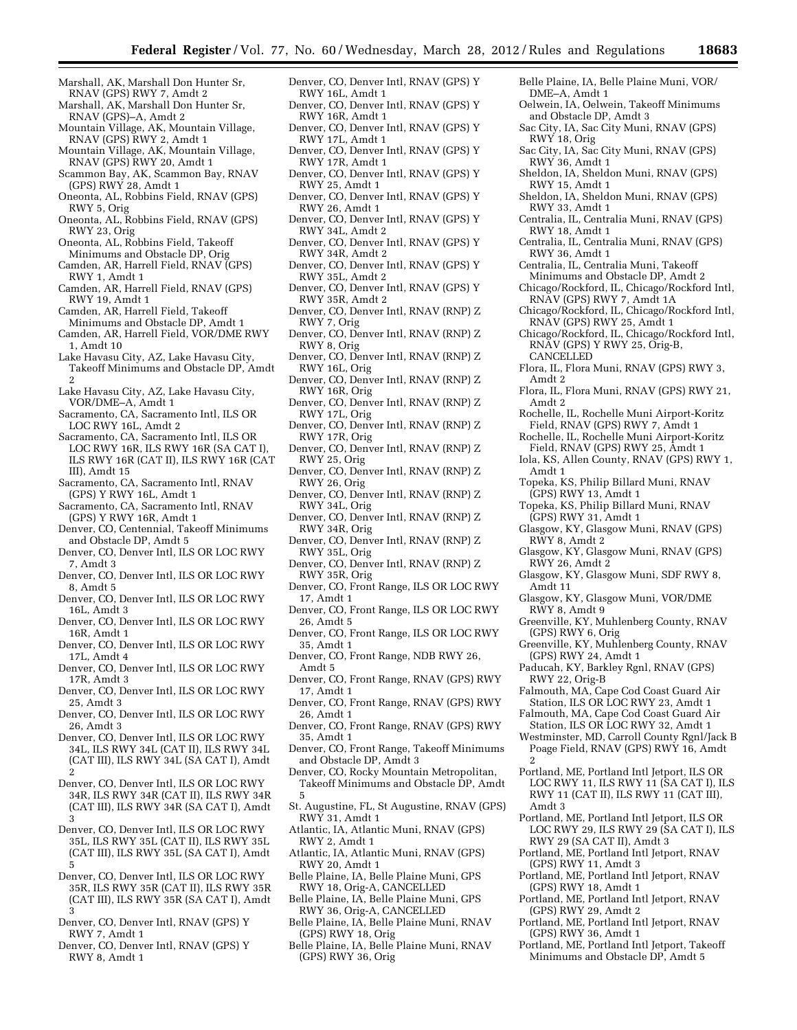- Marshall, AK, Marshall Don Hunter Sr, RNAV (GPS) RWY 7, Amdt 2
- Marshall, AK, Marshall Don Hunter Sr, RNAV (GPS)–A, Amdt 2
- Mountain Village, AK, Mountain Village, RNAV (GPS) RWY 2, Amdt 1
- Mountain Village, AK, Mountain Village, RNAV (GPS) RWY 20, Amdt 1
- Scammon Bay, AK, Scammon Bay, RNAV (GPS) RWY 28, Amdt 1
- Oneonta, AL, Robbins Field, RNAV (GPS) RWY 5, Orig
- Oneonta, AL, Robbins Field, RNAV (GPS) RWY 23, Orig
- Oneonta, AL, Robbins Field, Takeoff Minimums and Obstacle DP, Orig
- Camden, AR, Harrell Field, RNAV (GPS) RWY 1, Amdt 1
- Camden, AR, Harrell Field, RNAV (GPS) RWY 19, Amdt 1
- Camden, AR, Harrell Field, Takeoff
- Minimums and Obstacle DP, Amdt 1 Camden, AR, Harrell Field, VOR/DME RWY
- 1, Amdt 10 Lake Havasu City, AZ, Lake Havasu City,
- Takeoff Minimums and Obstacle DP, Amdt 2 Lake Havasu City, AZ, Lake Havasu City,
- VOR/DME–A, Amdt 1
- Sacramento, CA, Sacramento Intl, ILS OR LOC RWY 16L, Amdt 2
- Sacramento, CA, Sacramento Intl, ILS OR LOC RWY 16R, ILS RWY 16R (SA CAT I), ILS RWY 16R (CAT II), ILS RWY 16R (CAT III), Amdt 15
- Sacramento, CA, Sacramento Intl, RNAV (GPS) Y RWY 16L, Amdt 1
- Sacramento, CA, Sacramento Intl, RNAV (GPS) Y RWY 16R, Amdt 1
- Denver, CO, Centennial, Takeoff Minimums and Obstacle DP, Amdt 5
- Denver, CO, Denver Intl, ILS OR LOC RWY 7, Amdt 3
- Denver, CO, Denver Intl, ILS OR LOC RWY 8, Amdt 5
- Denver, CO, Denver Intl, ILS OR LOC RWY 16L, Amdt 3
- Denver, CO, Denver Intl, ILS OR LOC RWY 16R, Amdt 1
- Denver, CO, Denver Intl, ILS OR LOC RWY 17L, Amdt 4
- Denver, CO, Denver Intl, ILS OR LOC RWY 17R, Amdt 3
- Denver, CO, Denver Intl, ILS OR LOC RWY 25, Amdt 3
- Denver, CO, Denver Intl, ILS OR LOC RWY 26, Amdt 3
- Denver, CO, Denver Intl, ILS OR LOC RWY 34L, ILS RWY 34L (CAT II), ILS RWY 34L (CAT III), ILS RWY 34L (SA CAT I), Amdt 2
- Denver, CO, Denver Intl, ILS OR LOC RWY 34R, ILS RWY 34R (CAT II), ILS RWY 34R (CAT III), ILS RWY 34R (SA CAT I), Amdt 3
- Denver, CO, Denver Intl, ILS OR LOC RWY 35L, ILS RWY 35L (CAT II), ILS RWY 35L (CAT III), ILS RWY 35L (SA CAT I), Amdt 5
- Denver, CO, Denver Intl, ILS OR LOC RWY 35R, ILS RWY 35R (CAT II), ILS RWY 35R (CAT III), ILS RWY 35R (SA CAT I), Amdt 3
- Denver, CO, Denver Intl, RNAV (GPS) Y RWY 7, Amdt 1
- Denver, CO, Denver Intl, RNAV (GPS) Y RWY 8, Amdt 1
- Denver, CO, Denver Intl, RNAV (GPS) Y RWY 16L, Amdt 1
- Denver, CO, Denver Intl, RNAV (GPS) Y RWY 16R, Amdt 1
- Denver, CO, Denver Intl, RNAV (GPS) Y RWY 17L, Amdt 1
- Denver, CO, Denver Intl, RNAV (GPS) Y RWY 17R, Amdt 1
- Denver, CO, Denver Intl, RNAV (GPS) Y RWY 25, Amdt 1
- Denver, CO, Denver Intl, RNAV (GPS) Y RWY 26, Amdt 1
- Denver, CO, Denver Intl, RNAV (GPS) Y RWY 34L, Amdt 2
- Denver, CO, Denver Intl, RNAV (GPS) Y RWY 34R, Amdt 2
- Denver, CO, Denver Intl, RNAV (GPS) Y RWY 35L, Amdt 2
- Denver, CO, Denver Intl, RNAV (GPS) Y RWY 35R, Amdt 2
- Denver, CO, Denver Intl, RNAV (RNP) Z RWY 7, Orig
- Denver, CO, Denver Intl, RNAV (RNP) Z RWY 8, Orig
- Denver, CO, Denver Intl, RNAV (RNP) Z RWY 16L, Orig
- Denver, CO, Denver Intl, RNAV (RNP) Z RWY 16R, Orig
- Denver, CO, Denver Intl, RNAV (RNP) Z RWY 17L, Orig
- Denver, CO, Denver Intl, RNAV (RNP) Z RWY 17R, Orig
- Denver, CO, Denver Intl, RNAV (RNP) Z RWY 25, Orig
- Denver, CO, Denver Intl, RNAV (RNP) Z RWY 26, Orig
- Denver, CO, Denver Intl, RNAV (RNP) Z RWY 34L, Orig
- Denver, CO, Denver Intl, RNAV (RNP) Z RWY 34R, Orig
- Denver, CO, Denver Intl, RNAV (RNP) Z RWY 35L, Orig
- Denver, CO, Denver Intl, RNAV (RNP) Z RWY 35R, Orig
- Denver, CO, Front Range, ILS OR LOC RWY 17, Amdt 1
- Denver, CO, Front Range, ILS OR LOC RWY 26, Amdt 5
- Denver, CO, Front Range, ILS OR LOC RWY 35, Amdt 1
- Denver, CO, Front Range, NDB RWY 26, Amdt 5
- Denver, CO, Front Range, RNAV (GPS) RWY 17, Amdt 1
- Denver, CO, Front Range, RNAV (GPS) RWY 26, Amdt 1
- Denver, CO, Front Range, RNAV (GPS) RWY 35, Amdt 1
- Denver, CO, Front Range, Takeoff Minimums and Obstacle DP, Amdt 3
- Denver, CO, Rocky Mountain Metropolitan, Takeoff Minimums and Obstacle DP, Amdt 5
- St. Augustine, FL, St Augustine, RNAV (GPS) RWY 31, Amdt 1
- Atlantic, IA, Atlantic Muni, RNAV (GPS) RWY 2, Amdt 1
- Atlantic, IA, Atlantic Muni, RNAV (GPS) RWY 20, Amdt 1
- Belle Plaine, IA, Belle Plaine Muni, GPS RWY 18, Orig-A, CANCELLED
- Belle Plaine, IA, Belle Plaine Muni, GPS RWY 36, Orig-A, CANCELLED
- Belle Plaine, IA, Belle Plaine Muni, RNAV (GPS) RWY 18, Orig
- Belle Plaine, IA, Belle Plaine Muni, RNAV (GPS) RWY 36, Orig
- Belle Plaine, IA, Belle Plaine Muni, VOR/ DME–A, Amdt 1
- Oelwein, IA, Oelwein, Takeoff Minimums and Obstacle DP, Amdt 3
- Sac City, IA, Sac City Muni, RNAV (GPS) RWY 18, Orig
- Sac City, IA, Sac City Muni, RNAV (GPS) RWY 36, Amdt 1
- Sheldon, IA, Sheldon Muni, RNAV (GPS) RWY 15, Amdt 1
- Sheldon, IA, Sheldon Muni, RNAV (GPS) RWY 33, Amdt 1
- Centralia, IL, Centralia Muni, RNAV (GPS) RWY 18, Amdt 1
- Centralia, IL, Centralia Muni, RNAV (GPS) RWY 36, Amdt 1
- Centralia, IL, Centralia Muni, Takeoff Minimums and Obstacle DP, Amdt 2
- Chicago/Rockford, IL, Chicago/Rockford Intl, RNAV (GPS) RWY 7, Amdt 1A
- Chicago/Rockford, IL, Chicago/Rockford Intl, RNAV (GPS) RWY 25, Amdt 1
- Chicago/Rockford, IL, Chicago/Rockford Intl, RNAV (GPS) Y RWY 25, Orig-B,
- CANCELLED
- Flora, IL, Flora Muni, RNAV (GPS) RWY 3, Amdt 2
- Flora, IL, Flora Muni, RNAV (GPS) RWY 21, Amdt 2
- Rochelle, IL, Rochelle Muni Airport-Koritz Field, RNAV (GPS) RWY 7, Amdt 1
- Rochelle, IL, Rochelle Muni Airport-Koritz Field, RNAV (GPS) RWY 25, Amdt 1
- Iola, KS, Allen County, RNAV (GPS) RWY 1, Amdt 1
- Topeka, KS, Philip Billard Muni, RNAV (GPS) RWY 13, Amdt 1
- Topeka, KS, Philip Billard Muni, RNAV (GPS) RWY 31, Amdt 1
- Glasgow, KY, Glasgow Muni, RNAV (GPS) RWY 8, Amdt 2
- Glasgow, KY, Glasgow Muni, RNAV (GPS) RWY 26, Amdt 2
- Glasgow, KY, Glasgow Muni, SDF RWY 8, Amdt 11
- Glasgow, KY, Glasgow Muni, VOR/DME RWY 8, Amdt 9
- Greenville, KY, Muhlenberg County, RNAV (GPS) RWY 6, Orig
- Greenville, KY, Muhlenberg County, RNAV (GPS) RWY 24, Amdt 1
- Paducah, KY, Barkley Rgnl, RNAV (GPS) RWY 22, Orig-B Falmouth, MA, Cape Cod Coast Guard Air

Station, ILS OR LOC RWY 23, Amdt 1 Falmouth, MA, Cape Cod Coast Guard Air Station, ILS OR LOC RWY 32, Amdt 1 Westminster, MD, Carroll County Rgnl/Jack B Poage Field, RNAV (GPS) RWY 16, Amdt

Portland, ME, Portland Intl Jetport, ILS OR LOC RWY 11, ILS RWY 11 (SA CAT I), ILS RWY 11 (CAT II), ILS RWY 11 (CAT III),

Portland, ME, Portland Intl Jetport, ILS OR LOC RWY 29, ILS RWY 29 (SA CAT I), ILS

Portland, ME, Portland Intl Jetport, RNAV

Portland, ME, Portland Intl Jetport, RNAV

Portland, ME, Portland Intl Jetport, RNAV

Portland, ME, Portland Intl Jetport, Takeoff Minimums and Obstacle DP, Amdt 5

RWY 29 (SA CAT II), Amdt 3 Portland, ME, Portland Intl Jetport, RNAV

(GPS) RWY 11, Amdt 3

(GPS) RWY 18, Amdt 1

(GPS) RWY 29, Amdt 2

(GPS) RWY 36, Amdt 1

2

Amdt 3